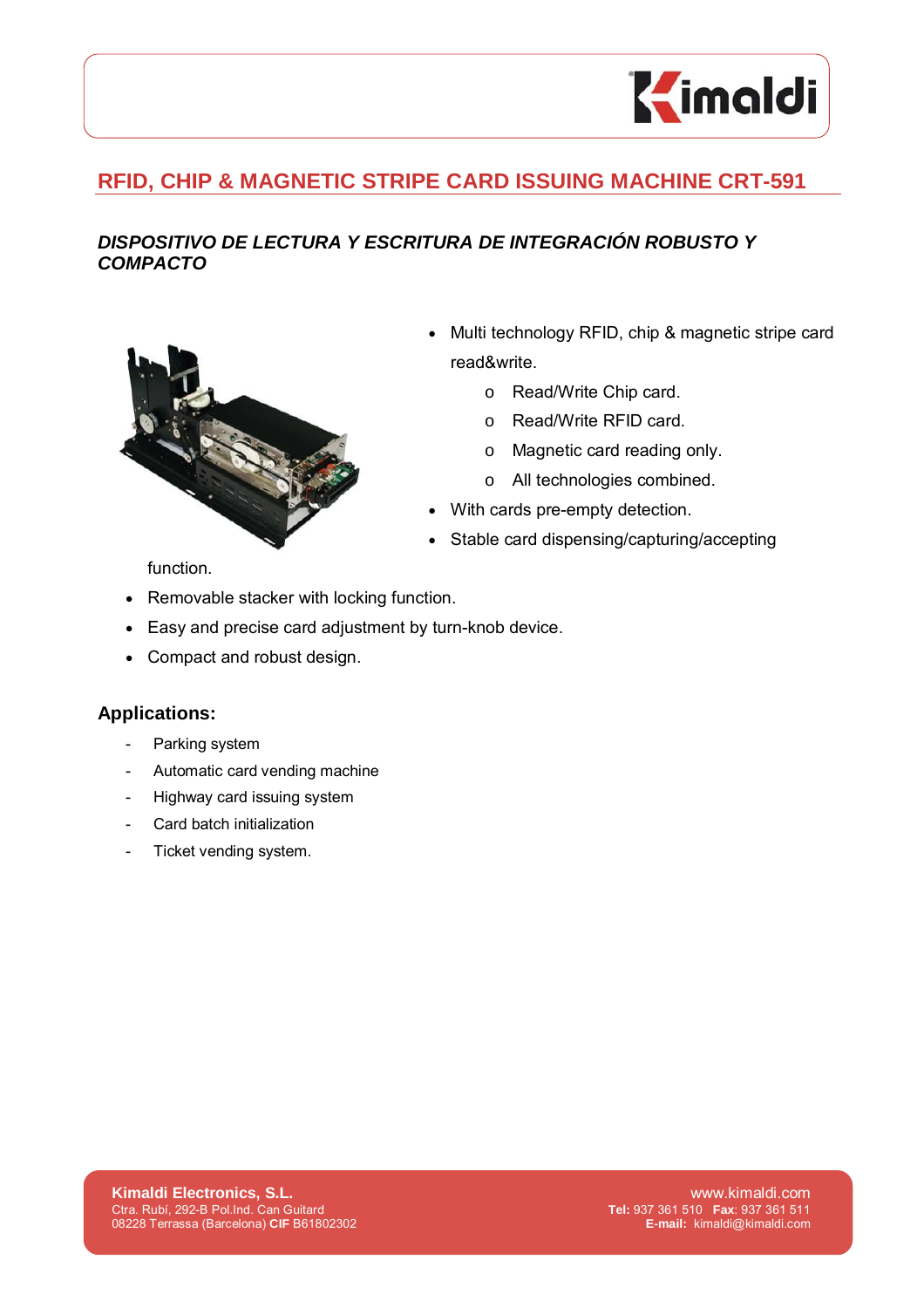

## **RFID, CHIP & MAGNETIC STRIPE CARD ISSUING MACHINE CRT-591**

## *DISPOSITIVO DE LECTURA Y ESCRITURA DE INTEGRACIÓN ROBUSTO Y COMPACTO*



- Multi technology RFID, chip & magnetic stripe card read&write.
	- o Read/Write Chip card.
	- o Read/Write RFID card.
	- o Magnetic card reading only.
	- o All technologies combined.
- With cards pre-empty detection.
- Stable card dispensing/capturing/accepting

function.

- Removable stacker with locking function.
- Easy and precise card adjustment by turn-knob device.
- Compact and robust design.

## **Applications:**

- Parking system
- Automatic card vending machine
- Highway card issuing system
- Card batch initialization
- Ticket vending system.